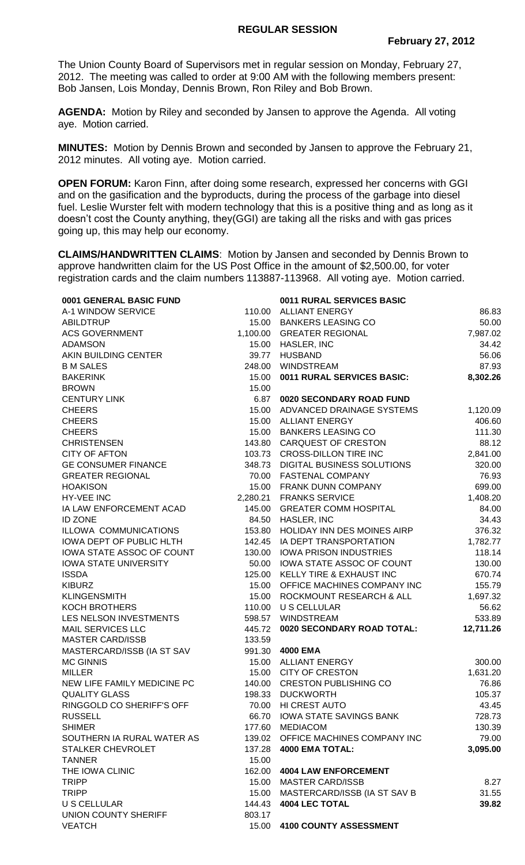The Union County Board of Supervisors met in regular session on Monday, February 27, 2012. The meeting was called to order at 9:00 AM with the following members present: Bob Jansen, Lois Monday, Dennis Brown, Ron Riley and Bob Brown.

**AGENDA:** Motion by Riley and seconded by Jansen to approve the Agenda. All voting aye. Motion carried.

**MINUTES:** Motion by Dennis Brown and seconded by Jansen to approve the February 21, 2012 minutes. All voting aye. Motion carried.

**OPEN FORUM:** Karon Finn, after doing some research, expressed her concerns with GGI and on the gasification and the byproducts, during the process of the garbage into diesel fuel. Leslie Wurster felt with modern technology that this is a positive thing and as long as it doesn't cost the County anything, they(GGI) are taking all the risks and with gas prices going up, this may help our economy.

**CLAIMS/HANDWRITTEN CLAIMS**: Motion by Jansen and seconded by Dennis Brown to approve handwritten claim for the US Post Office in the amount of \$2,500.00, for voter registration cards and the claim numbers 113887-113968. All voting aye. Motion carried.

| 0001 GENERAL BASIC FUND      |        | 0011 RURAL SERVICES BASIC          |           |
|------------------------------|--------|------------------------------------|-----------|
| A-1 WINDOW SERVICE           |        | 110.00 ALLIANT ENERGY              | 86.83     |
| <b>ABILDTRUP</b>             |        | 15.00 BANKERS LEASING CO           | 50.00     |
| <b>ACS GOVERNMENT</b>        |        | 1,100.00 GREATER REGIONAL          | 7,987.02  |
| <b>ADAMSON</b>               |        | 15.00 HASLER, INC                  | 34.42     |
| AKIN BUILDING CENTER         |        | 39.77 HUSBAND                      | 56.06     |
| <b>B M SALES</b>             |        | 248.00 WINDSTREAM                  | 87.93     |
| <b>BAKERINK</b>              | 15.00  | <b>0011 RURAL SERVICES BASIC:</b>  | 8,302.26  |
| <b>BROWN</b>                 | 15.00  |                                    |           |
| <b>CENTURY LINK</b>          | 6.87   | 0020 SECONDARY ROAD FUND           |           |
| <b>CHEERS</b>                | 15.00  | ADVANCED DRAINAGE SYSTEMS          | 1,120.09  |
| <b>CHEERS</b>                |        | 15.00 ALLIANT ENERGY               | 406.60    |
| <b>CHEERS</b>                |        | 15.00 BANKERS LEASING CO           | 111.30    |
| <b>CHRISTENSEN</b>           |        | 143.80 CARQUEST OF CRESTON         | 88.12     |
| <b>CITY OF AFTON</b>         |        | 103.73 CROSS-DILLON TIRE INC       | 2,841.00  |
| <b>GE CONSUMER FINANCE</b>   |        | 348.73 DIGITAL BUSINESS SOLUTIONS  | 320.00    |
| <b>GREATER REGIONAL</b>      |        | 70.00 FASTENAL COMPANY             | 76.93     |
| <b>HOAKISON</b>              |        | 15.00 FRANK DUNN COMPANY           | 699.00    |
| HY-VEE INC                   |        | 2,280.21 FRANKS SERVICE            | 1,408.20  |
| IA LAW ENFORCEMENT ACAD      |        | 145.00 GREATER COMM HOSPITAL       | 84.00     |
| <b>ID ZONE</b>               |        | 84.50 HASLER, INC                  | 34.43     |
| ILLOWA COMMUNICATIONS        |        | 153.80 HOLIDAY INN DES MOINES AIRP | 376.32    |
| IOWA DEPT OF PUBLIC HLTH     |        | 142.45 IA DEPT TRANSPORTATION      | 1,782.77  |
| IOWA STATE ASSOC OF COUNT    | 130.00 | <b>IOWA PRISON INDUSTRIES</b>      | 118.14    |
| <b>IOWA STATE UNIVERSITY</b> | 50.00  | IOWA STATE ASSOC OF COUNT          | 130.00    |
| <b>ISSDA</b>                 | 125.00 | KELLY TIRE & EXHAUST INC           | 670.74    |
| <b>KIBURZ</b>                | 15.00  | OFFICE MACHINES COMPANY INC        | 155.79    |
| <b>KLINGENSMITH</b>          | 15.00  | ROCKMOUNT RESEARCH & ALL           | 1,697.32  |
| <b>KOCH BROTHERS</b>         | 110.00 | U S CELLULAR                       | 56.62     |
| LES NELSON INVESTMENTS       |        | 598.57 WINDSTREAM                  | 533.89    |
| <b>MAIL SERVICES LLC</b>     | 445.72 | 0020 SECONDARY ROAD TOTAL:         | 12,711.26 |
| <b>MASTER CARD/ISSB</b>      | 133.59 |                                    |           |
| MASTERCARD/ISSB (IA ST SAV   |        | 991.30 4000 EMA                    |           |
| <b>MC GINNIS</b>             |        | 15.00 ALLIANT ENERGY               | 300.00    |
| <b>MILLER</b>                | 15.00  | <b>CITY OF CRESTON</b>             | 1,631.20  |
| NEW LIFE FAMILY MEDICINE PC  | 140.00 | <b>CRESTON PUBLISHING CO</b>       | 76.86     |
| <b>QUALITY GLASS</b>         | 198.33 | <b>DUCKWORTH</b>                   | 105.37    |
| RINGGOLD CO SHERIFF'S OFF    | 70.00  | HI CREST AUTO                      | 43.45     |
| <b>RUSSELL</b>               | 66.70  | <b>IOWA STATE SAVINGS BANK</b>     | 728.73    |
| <b>SHIMER</b>                | 177.60 | <b>MEDIACOM</b>                    | 130.39    |
| SOUTHERN IA RURAL WATER AS   | 139.02 | OFFICE MACHINES COMPANY INC        | 79.00     |
| STALKER CHEVROLET            | 137.28 | <b>4000 EMA TOTAL:</b>             | 3,095.00  |
| <b>TANNER</b>                | 15.00  |                                    |           |
| THE IOWA CLINIC              | 162.00 | <b>4004 LAW ENFORCEMENT</b>        |           |
| <b>TRIPP</b>                 | 15.00  | <b>MASTER CARD/ISSB</b>            | 8.27      |
| <b>TRIPP</b>                 |        | 15.00 MASTERCARD/ISSB (IA ST SAV B | 31.55     |
| U S CELLULAR                 | 144.43 | <b>4004 LEC TOTAL</b>              | 39.82     |
| UNION COUNTY SHERIFF         | 803.17 |                                    |           |
| <b>VEATCH</b>                | 15.00  | <b>4100 COUNTY ASSESSMENT</b>      |           |
|                              |        |                                    |           |